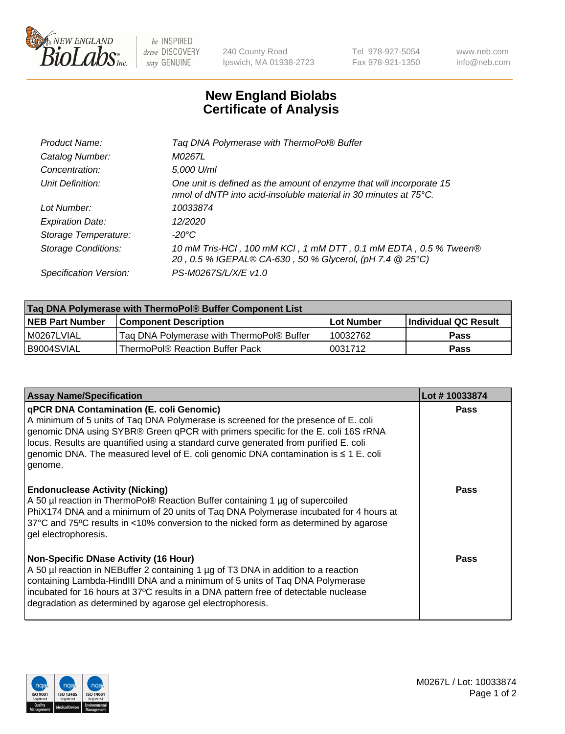

 $be$  INSPIRED drive DISCOVERY stay GENUINE

240 County Road Ipswich, MA 01938-2723 Tel 978-927-5054 Fax 978-921-1350 www.neb.com info@neb.com

## **New England Biolabs Certificate of Analysis**

| M0267L<br>Catalog Number:<br>5,000 U/ml<br>Concentration:<br>Unit Definition:<br>One unit is defined as the amount of enzyme that will incorporate 15<br>nmol of dNTP into acid-insoluble material in 30 minutes at 75°C.<br>Lot Number:<br>10033874<br>12/2020<br><b>Expiration Date:</b><br>$-20^{\circ}$ C<br>Storage Temperature:<br><b>Storage Conditions:</b><br>20, 0.5 % IGEPAL® CA-630, 50 % Glycerol, (pH 7.4 @ 25°C)<br>PS-M0267S/L/X/E v1.0<br>Specification Version: | Product Name: | Tag DNA Polymerase with ThermoPol® Buffer                       |
|-----------------------------------------------------------------------------------------------------------------------------------------------------------------------------------------------------------------------------------------------------------------------------------------------------------------------------------------------------------------------------------------------------------------------------------------------------------------------------------|---------------|-----------------------------------------------------------------|
|                                                                                                                                                                                                                                                                                                                                                                                                                                                                                   |               |                                                                 |
|                                                                                                                                                                                                                                                                                                                                                                                                                                                                                   |               |                                                                 |
|                                                                                                                                                                                                                                                                                                                                                                                                                                                                                   |               |                                                                 |
|                                                                                                                                                                                                                                                                                                                                                                                                                                                                                   |               |                                                                 |
|                                                                                                                                                                                                                                                                                                                                                                                                                                                                                   |               |                                                                 |
|                                                                                                                                                                                                                                                                                                                                                                                                                                                                                   |               |                                                                 |
|                                                                                                                                                                                                                                                                                                                                                                                                                                                                                   |               | 10 mM Tris-HCl, 100 mM KCl, 1 mM DTT, 0.1 mM EDTA, 0.5 % Tween® |
|                                                                                                                                                                                                                                                                                                                                                                                                                                                                                   |               |                                                                 |

| Tag DNA Polymerase with ThermoPol® Buffer Component List |                                           |                   |                      |  |
|----------------------------------------------------------|-------------------------------------------|-------------------|----------------------|--|
| <b>NEB Part Number</b>                                   | <b>Component Description</b>              | <b>Lot Number</b> | Individual QC Result |  |
| M0267LVIAL                                               | Tag DNA Polymerase with ThermoPol® Buffer | 10032762          | <b>Pass</b>          |  |
| I B9004SVIAL                                             | ThermoPol® Reaction Buffer Pack           | '0031712          | <b>Pass</b>          |  |

| <b>Assay Name/Specification</b>                                                                                                                                                                                                                                                                                                                                                                               | Lot #10033874 |
|---------------------------------------------------------------------------------------------------------------------------------------------------------------------------------------------------------------------------------------------------------------------------------------------------------------------------------------------------------------------------------------------------------------|---------------|
| qPCR DNA Contamination (E. coli Genomic)<br>A minimum of 5 units of Taq DNA Polymerase is screened for the presence of E. coli<br>genomic DNA using SYBR® Green qPCR with primers specific for the E. coli 16S rRNA<br>locus. Results are quantified using a standard curve generated from purified E. coli<br>genomic DNA. The measured level of E. coli genomic DNA contamination is ≤ 1 E. coli<br>genome. | <b>Pass</b>   |
| <b>Endonuclease Activity (Nicking)</b><br>A 50 µl reaction in ThermoPol® Reaction Buffer containing 1 µg of supercoiled<br>PhiX174 DNA and a minimum of 20 units of Taq DNA Polymerase incubated for 4 hours at<br>37°C and 75°C results in <10% conversion to the nicked form as determined by agarose<br>gel electrophoresis.                                                                               | <b>Pass</b>   |
| <b>Non-Specific DNase Activity (16 Hour)</b><br>A 50 µl reaction in NEBuffer 2 containing 1 µg of T3 DNA in addition to a reaction<br>containing Lambda-HindIII DNA and a minimum of 5 units of Taq DNA Polymerase<br>incubated for 16 hours at 37°C results in a DNA pattern free of detectable nuclease<br>degradation as determined by agarose gel electrophoresis.                                        | Pass          |